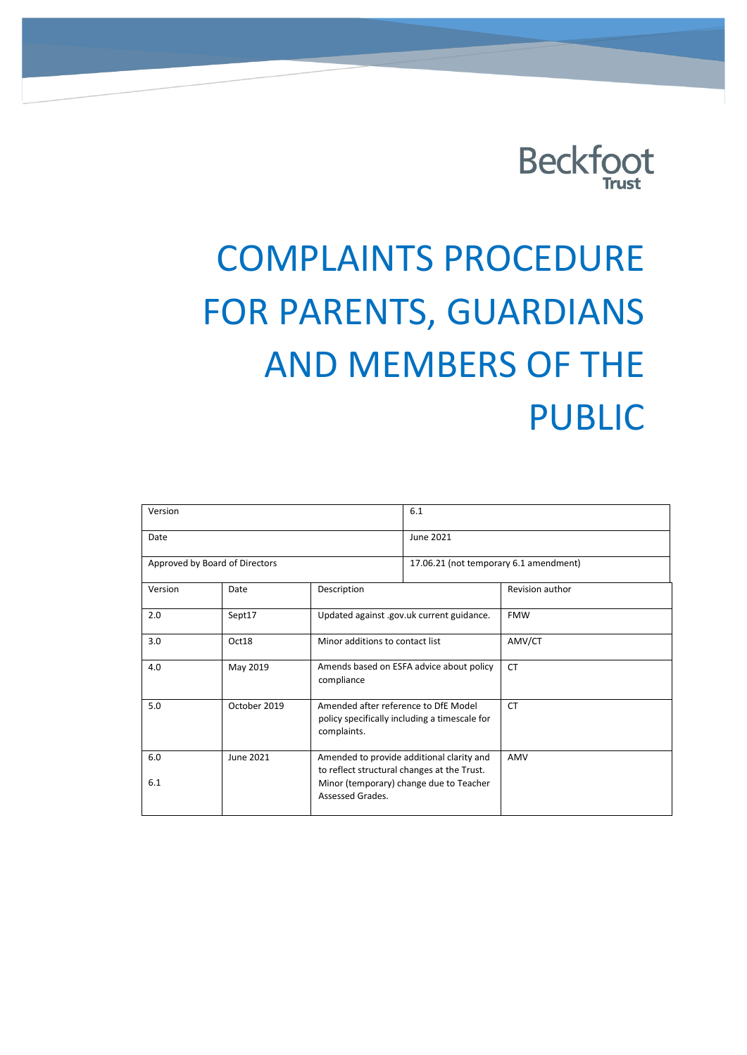

# COMPLAINTS PROCEDURE FOR PARENTS, GUARDIANS AND MEMBERS OF THE PUBLIC

| Version                        |              |                                                                                                                                                         | 6.1                                    |                 |
|--------------------------------|--------------|---------------------------------------------------------------------------------------------------------------------------------------------------------|----------------------------------------|-----------------|
| Date                           |              |                                                                                                                                                         | June 2021                              |                 |
| Approved by Board of Directors |              |                                                                                                                                                         | 17.06.21 (not temporary 6.1 amendment) |                 |
| Version                        | Date         | Description                                                                                                                                             |                                        | Revision author |
| 2.0                            | Sept17       | Updated against .gov.uk current guidance.                                                                                                               |                                        | <b>FMW</b>      |
| 3.0                            | Oct18        | Minor additions to contact list                                                                                                                         |                                        | AMV/CT          |
| 4.0                            | May 2019     | Amends based on ESFA advice about policy<br>compliance                                                                                                  |                                        | <b>CT</b>       |
| 5.0                            | October 2019 | Amended after reference to DfE Model<br>policy specifically including a timescale for<br>complaints.                                                    |                                        | <b>CT</b>       |
| 6.0<br>6.1                     | June 2021    | Amended to provide additional clarity and<br>to reflect structural changes at the Trust.<br>Minor (temporary) change due to Teacher<br>Assessed Grades. |                                        | AMV             |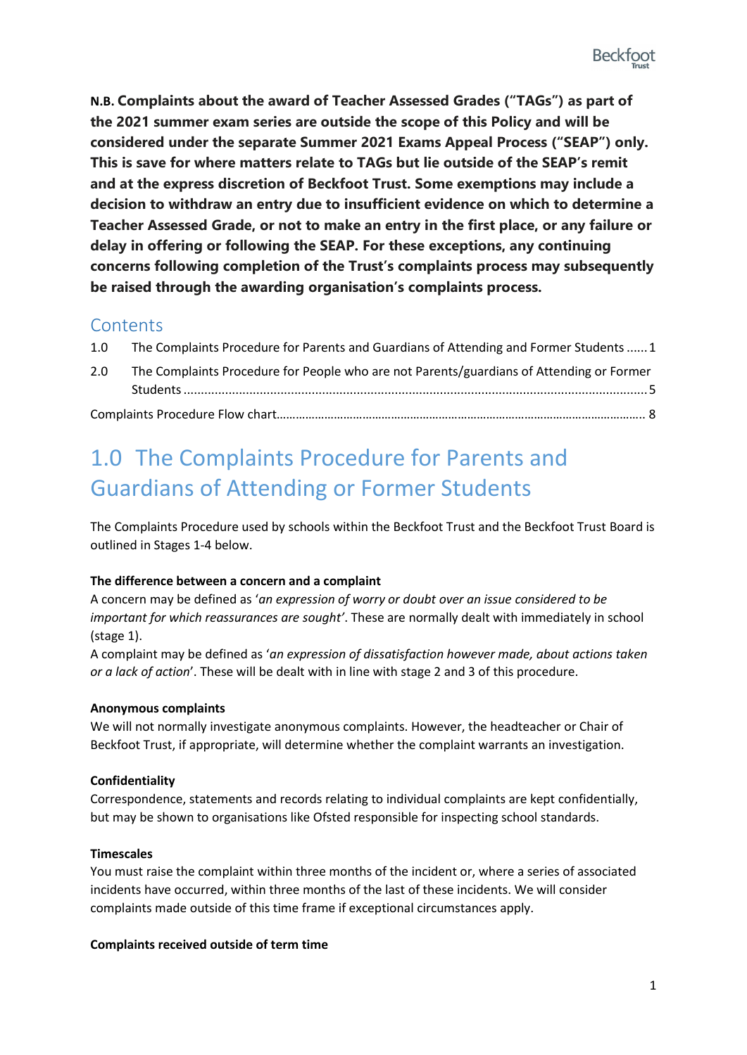**N.B. Complaints about the award of Teacher Assessed Grades ("TAGs") as part of the 2021 summer exam series are outside the scope of this Policy and will be considered under the separate Summer 2021 Exams Appeal Process ("SEAP") only. This is save for where matters relate to TAGs but lie outside of the SEAP's remit and at the express discretion of Beckfoot Trust. Some exemptions may include a decision to withdraw an entry due to insufficient evidence on which to determine a Teacher Assessed Grade, or not to make an entry in the first place, or any failure or delay in offering or following the SEAP. For these exceptions, any continuing concerns following completion of the Trust's complaints process may subsequently be raised through the awarding organisation's complaints process.**

### **Contents**

| 1.0 <sub>1</sub> | The Complaints Procedure for Parents and Guardians of Attending and Former Students  1 |  |  |
|------------------|----------------------------------------------------------------------------------------|--|--|
|                  |                                                                                        |  |  |

| 2.0 | The Complaints Procedure for People who are not Parents/guardians of Attending or Former |  |
|-----|------------------------------------------------------------------------------------------|--|
|     |                                                                                          |  |
|     |                                                                                          |  |

## 1.0 The Complaints Procedure for Parents and Guardians of Attending or Former Students

The Complaints Procedure used by schools within the Beckfoot Trust and the Beckfoot Trust Board is outlined in Stages 1-4 below.

#### **The difference between a concern and a complaint**

A concern may be defined as '*an expression of worry or doubt over an issue considered to be important for which reassurances are sought'*. These are normally dealt with immediately in school (stage 1).

A complaint may be defined as '*an expression of dissatisfaction however made, about actions taken or a lack of action*'. These will be dealt with in line with stage 2 and 3 of this procedure.

#### **Anonymous complaints**

We will not normally investigate anonymous complaints. However, the headteacher or Chair of Beckfoot Trust, if appropriate, will determine whether the complaint warrants an investigation.

#### **Confidentiality**

Correspondence, statements and records relating to individual complaints are kept confidentially, but may be shown to organisations like Ofsted responsible for inspecting school standards.

#### **Timescales**

You must raise the complaint within three months of the incident or, where a series of associated incidents have occurred, within three months of the last of these incidents. We will consider complaints made outside of this time frame if exceptional circumstances apply.

#### **Complaints received outside of term time**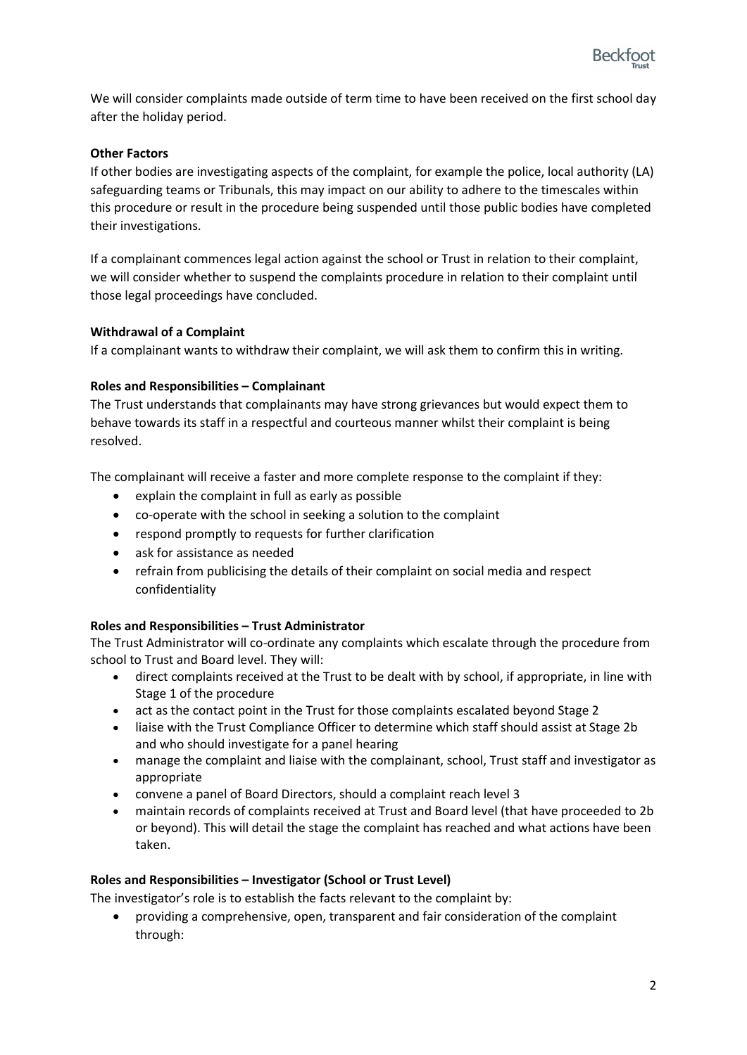

We will consider complaints made outside of term time to have been received on the first school day after the holiday period.

#### **Other Factors**

If other bodies are investigating aspects of the complaint, for example the police, local authority (LA) safeguarding teams or Tribunals, this may impact on our ability to adhere to the timescales within this procedure or result in the procedure being suspended until those public bodies have completed their investigations.

If a complainant commences legal action against the school or Trust in relation to their complaint, we will consider whether to suspend the complaints procedure in relation to their complaint until those legal proceedings have concluded.

#### **Withdrawal of a Complaint**

If a complainant wants to withdraw their complaint, we will ask them to confirm this in writing.

#### **Roles and Responsibilities – Complainant**

The Trust understands that complainants may have strong grievances but would expect them to behave towards its staff in a respectful and courteous manner whilst their complaint is being resolved.

The complainant will receive a faster and more complete response to the complaint if they:

- explain the complaint in full as early as possible
- co-operate with the school in seeking a solution to the complaint
- respond promptly to requests for further clarification
- ask for assistance as needed
- refrain from publicising the details of their complaint on social media and respect confidentiality

#### **Roles and Responsibilities – Trust Administrator**

The Trust Administrator will co-ordinate any complaints which escalate through the procedure from school to Trust and Board level. They will:

- direct complaints received at the Trust to be dealt with by school, if appropriate, in line with Stage 1 of the procedure
- act as the contact point in the Trust for those complaints escalated beyond Stage 2
- liaise with the Trust Compliance Officer to determine which staff should assist at Stage 2b and who should investigate for a panel hearing
- manage the complaint and liaise with the complainant, school, Trust staff and investigator as appropriate
- convene a panel of Board Directors, should a complaint reach level 3
- maintain records of complaints received at Trust and Board level (that have proceeded to 2b or beyond). This will detail the stage the complaint has reached and what actions have been taken.

#### **Roles and Responsibilities – Investigator (School or Trust Level)**

The investigator's role is to establish the facts relevant to the complaint by:

• providing a comprehensive, open, transparent and fair consideration of the complaint through: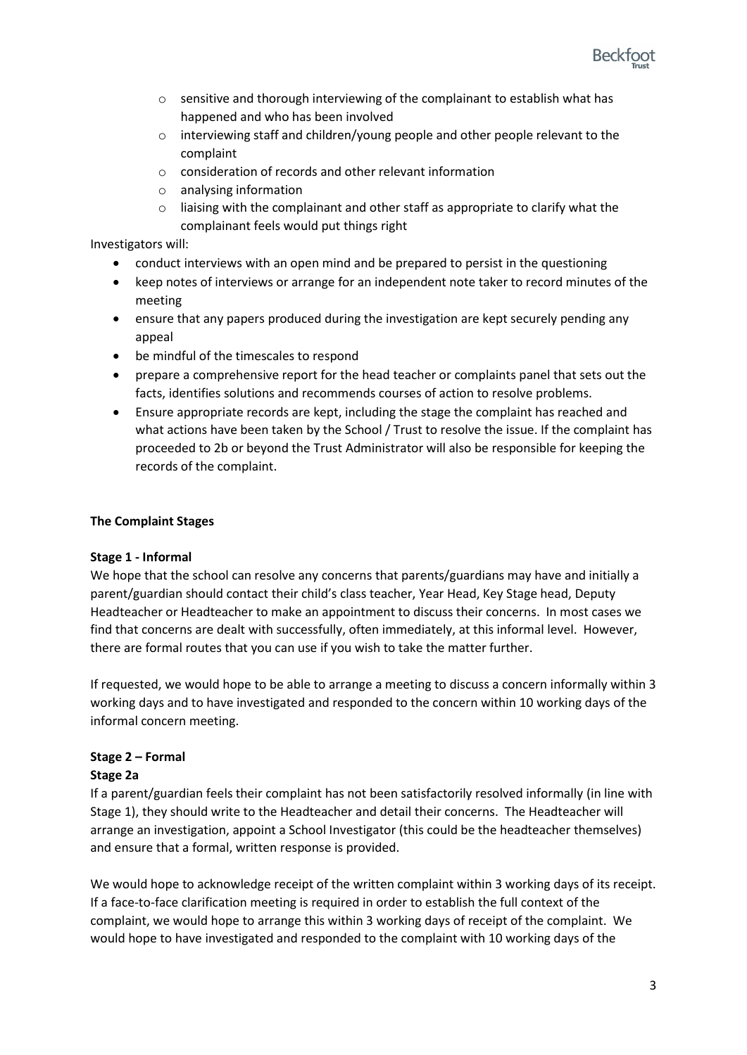

- $\circ$  sensitive and thorough interviewing of the complainant to establish what has happened and who has been involved
- o interviewing staff and children/young people and other people relevant to the complaint
- o consideration of records and other relevant information
- o analysing information
- o liaising with the complainant and other staff as appropriate to clarify what the complainant feels would put things right

Investigators will:

- conduct interviews with an open mind and be prepared to persist in the questioning
- keep notes of interviews or arrange for an independent note taker to record minutes of the meeting
- ensure that any papers produced during the investigation are kept securely pending any appeal
- be mindful of the timescales to respond
- prepare a comprehensive report for the head teacher or complaints panel that sets out the facts, identifies solutions and recommends courses of action to resolve problems.
- Ensure appropriate records are kept, including the stage the complaint has reached and what actions have been taken by the School / Trust to resolve the issue. If the complaint has proceeded to 2b or beyond the Trust Administrator will also be responsible for keeping the records of the complaint.

#### **The Complaint Stages**

#### **Stage 1 - Informal**

We hope that the school can resolve any concerns that parents/guardians may have and initially a parent/guardian should contact their child's class teacher, Year Head, Key Stage head, Deputy Headteacher or Headteacher to make an appointment to discuss their concerns. In most cases we find that concerns are dealt with successfully, often immediately, at this informal level. However, there are formal routes that you can use if you wish to take the matter further.

If requested, we would hope to be able to arrange a meeting to discuss a concern informally within 3 working days and to have investigated and responded to the concern within 10 working days of the informal concern meeting.

## **Stage 2 – Formal**

#### **Stage 2a**

If a parent/guardian feels their complaint has not been satisfactorily resolved informally (in line with Stage 1), they should write to the Headteacher and detail their concerns. The Headteacher will arrange an investigation, appoint a School Investigator (this could be the headteacher themselves) and ensure that a formal, written response is provided.

We would hope to acknowledge receipt of the written complaint within 3 working days of its receipt. If a face-to-face clarification meeting is required in order to establish the full context of the complaint, we would hope to arrange this within 3 working days of receipt of the complaint. We would hope to have investigated and responded to the complaint with 10 working days of the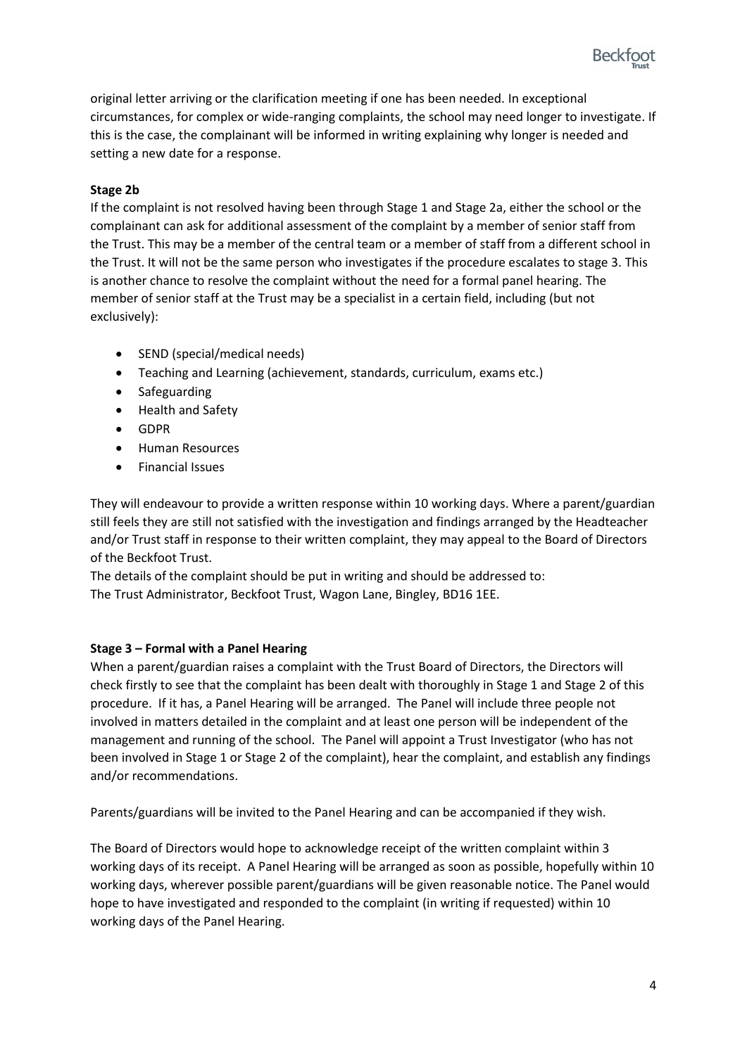

original letter arriving or the clarification meeting if one has been needed. In exceptional circumstances, for complex or wide-ranging complaints, the school may need longer to investigate. If this is the case, the complainant will be informed in writing explaining why longer is needed and setting a new date for a response.

#### **Stage 2b**

If the complaint is not resolved having been through Stage 1 and Stage 2a, either the school or the complainant can ask for additional assessment of the complaint by a member of senior staff from the Trust. This may be a member of the central team or a member of staff from a different school in the Trust. It will not be the same person who investigates if the procedure escalates to stage 3. This is another chance to resolve the complaint without the need for a formal panel hearing. The member of senior staff at the Trust may be a specialist in a certain field, including (but not exclusively):

- SEND (special/medical needs)
- Teaching and Learning (achievement, standards, curriculum, exams etc.)
- Safeguarding
- Health and Safety
- GDPR
- Human Resources
- Financial Issues

They will endeavour to provide a written response within 10 working days. Where a parent/guardian still feels they are still not satisfied with the investigation and findings arranged by the Headteacher and/or Trust staff in response to their written complaint, they may appeal to the Board of Directors of the Beckfoot Trust.

The details of the complaint should be put in writing and should be addressed to: The Trust Administrator, Beckfoot Trust, Wagon Lane, Bingley, BD16 1EE.

#### **Stage 3 – Formal with a Panel Hearing**

When a parent/guardian raises a complaint with the Trust Board of Directors, the Directors will check firstly to see that the complaint has been dealt with thoroughly in Stage 1 and Stage 2 of this procedure. If it has, a Panel Hearing will be arranged. The Panel will include three people not involved in matters detailed in the complaint and at least one person will be independent of the management and running of the school. The Panel will appoint a Trust Investigator (who has not been involved in Stage 1 or Stage 2 of the complaint), hear the complaint, and establish any findings and/or recommendations.

Parents/guardians will be invited to the Panel Hearing and can be accompanied if they wish.

The Board of Directors would hope to acknowledge receipt of the written complaint within 3 working days of its receipt. A Panel Hearing will be arranged as soon as possible, hopefully within 10 working days, wherever possible parent/guardians will be given reasonable notice. The Panel would hope to have investigated and responded to the complaint (in writing if requested) within 10 working days of the Panel Hearing.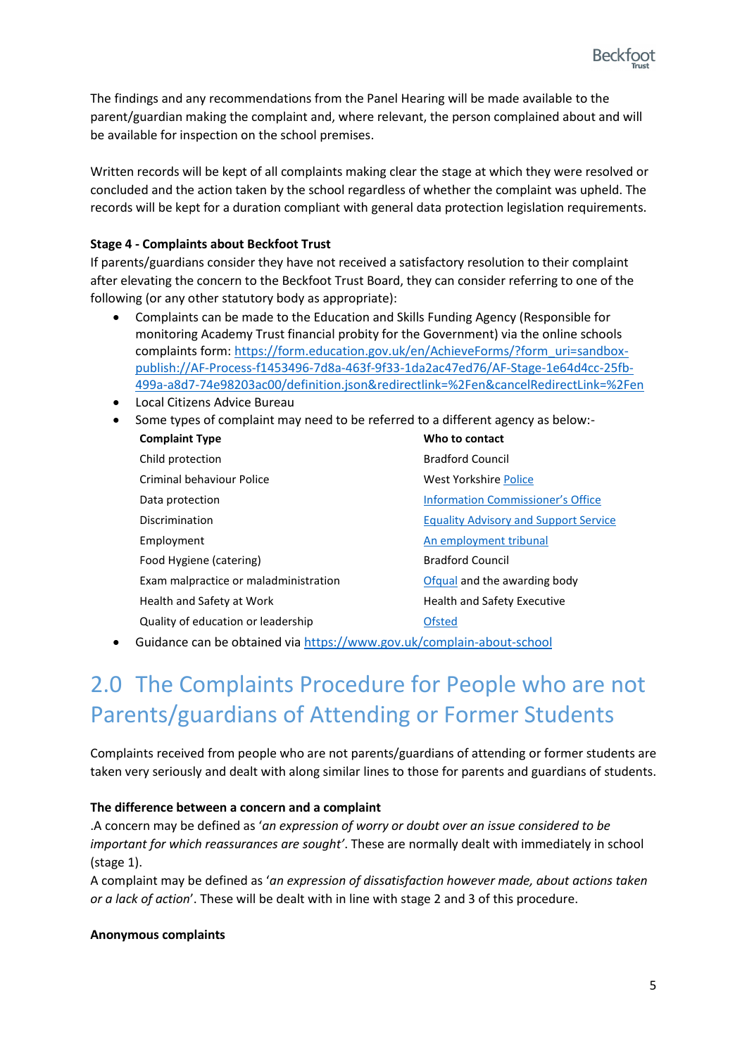

The findings and any recommendations from the Panel Hearing will be made available to the parent/guardian making the complaint and, where relevant, the person complained about and will be available for inspection on the school premises.

Written records will be kept of all complaints making clear the stage at which they were resolved or concluded and the action taken by the school regardless of whether the complaint was upheld. The records will be kept for a duration compliant with general data protection legislation requirements.

#### **Stage 4 - Complaints about Beckfoot Trust**

If parents/guardians consider they have not received a satisfactory resolution to their complaint after elevating the concern to the Beckfoot Trust Board, they can consider referring to one of the following (or any other statutory body as appropriate):

- Complaints can be made to the Education and Skills Funding Agency (Responsible for monitoring Academy Trust financial probity for the Government) via the online schools complaints form: https://form.education.gov.uk/en/AchieveForms/?form\_uri=sandboxpublish://AF-Process-f1453496-7d8a-463f-9f33-1da2ac47ed76/AF-Stage-1e64d4cc-25fb-499a-a8d7-74e98203ac00/definition.json&redirectlink=%2Fen&cancelRedirectLink=%2Fen
- Local Citizens Advice Bureau
- Some types of complaint may need to be referred to a different agency as below:-

| <b>Complaint Type</b>                                                  | Who to contact                               |
|------------------------------------------------------------------------|----------------------------------------------|
| Child protection                                                       | <b>Bradford Council</b>                      |
| Criminal behaviour Police                                              | West Yorkshire Police                        |
| Data protection                                                        | <b>Information Commissioner's Office</b>     |
| Discrimination                                                         | <b>Equality Advisory and Support Service</b> |
| Employment                                                             | An employment tribunal                       |
| Food Hygiene (catering)                                                | <b>Bradford Council</b>                      |
| Exam malpractice or maladministration                                  | Ofqual and the awarding body                 |
| Health and Safety at Work                                              | <b>Health and Safety Executive</b>           |
| Quality of education or leadership                                     | <b>Ofsted</b>                                |
| Cuidence can he obtained via https://www.gov.uk/completin about school |                                              |

• Guidance can be obtained via https://www.gov.uk/complain-about-school

## 2.0 The Complaints Procedure for People who are not Parents/guardians of Attending or Former Students

Complaints received from people who are not parents/guardians of attending or former students are taken very seriously and dealt with along similar lines to those for parents and guardians of students.

#### **The difference between a concern and a complaint**

.A concern may be defined as '*an expression of worry or doubt over an issue considered to be important for which reassurances are sought'*. These are normally dealt with immediately in school (stage 1).

A complaint may be defined as '*an expression of dissatisfaction however made, about actions taken or a lack of action*'. These will be dealt with in line with stage 2 and 3 of this procedure.

#### **Anonymous complaints**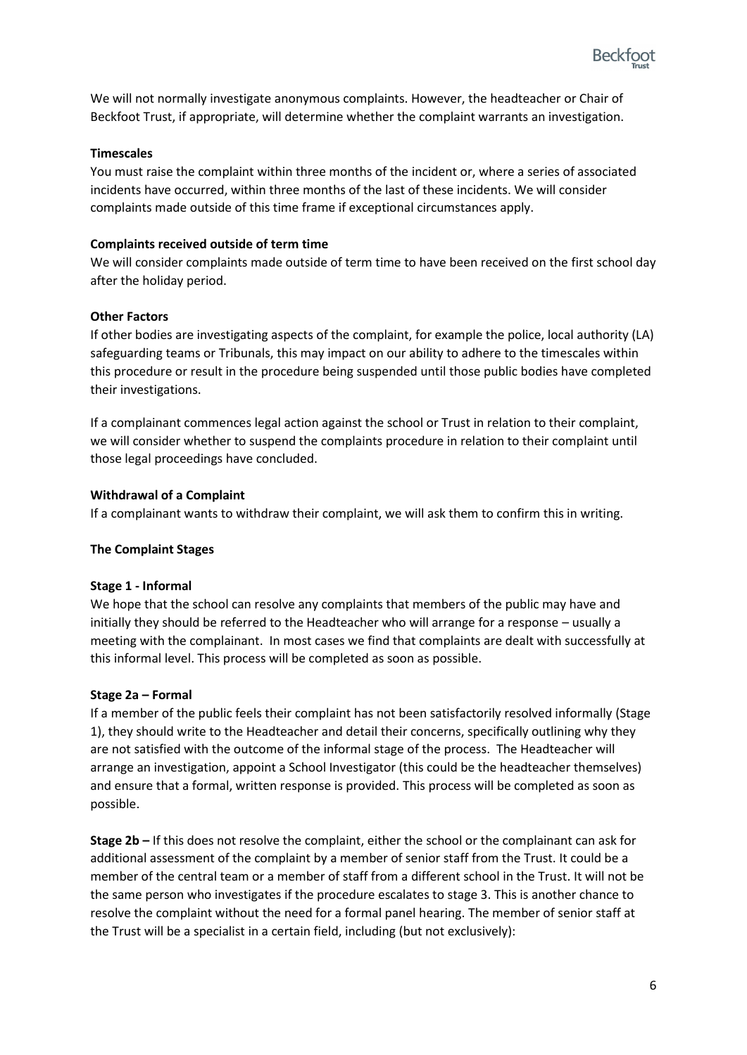

We will not normally investigate anonymous complaints. However, the headteacher or Chair of Beckfoot Trust, if appropriate, will determine whether the complaint warrants an investigation.

#### **Timescales**

You must raise the complaint within three months of the incident or, where a series of associated incidents have occurred, within three months of the last of these incidents. We will consider complaints made outside of this time frame if exceptional circumstances apply.

#### **Complaints received outside of term time**

We will consider complaints made outside of term time to have been received on the first school day after the holiday period.

#### **Other Factors**

If other bodies are investigating aspects of the complaint, for example the police, local authority (LA) safeguarding teams or Tribunals, this may impact on our ability to adhere to the timescales within this procedure or result in the procedure being suspended until those public bodies have completed their investigations.

If a complainant commences legal action against the school or Trust in relation to their complaint, we will consider whether to suspend the complaints procedure in relation to their complaint until those legal proceedings have concluded.

#### **Withdrawal of a Complaint**

If a complainant wants to withdraw their complaint, we will ask them to confirm this in writing.

#### **The Complaint Stages**

#### **Stage 1 - Informal**

We hope that the school can resolve any complaints that members of the public may have and initially they should be referred to the Headteacher who will arrange for a response – usually a meeting with the complainant. In most cases we find that complaints are dealt with successfully at this informal level. This process will be completed as soon as possible.

#### **Stage 2a – Formal**

If a member of the public feels their complaint has not been satisfactorily resolved informally (Stage 1), they should write to the Headteacher and detail their concerns, specifically outlining why they are not satisfied with the outcome of the informal stage of the process. The Headteacher will arrange an investigation, appoint a School Investigator (this could be the headteacher themselves) and ensure that a formal, written response is provided. This process will be completed as soon as possible.

**Stage 2b –** If this does not resolve the complaint, either the school or the complainant can ask for additional assessment of the complaint by a member of senior staff from the Trust. It could be a member of the central team or a member of staff from a different school in the Trust. It will not be the same person who investigates if the procedure escalates to stage 3. This is another chance to resolve the complaint without the need for a formal panel hearing. The member of senior staff at the Trust will be a specialist in a certain field, including (but not exclusively):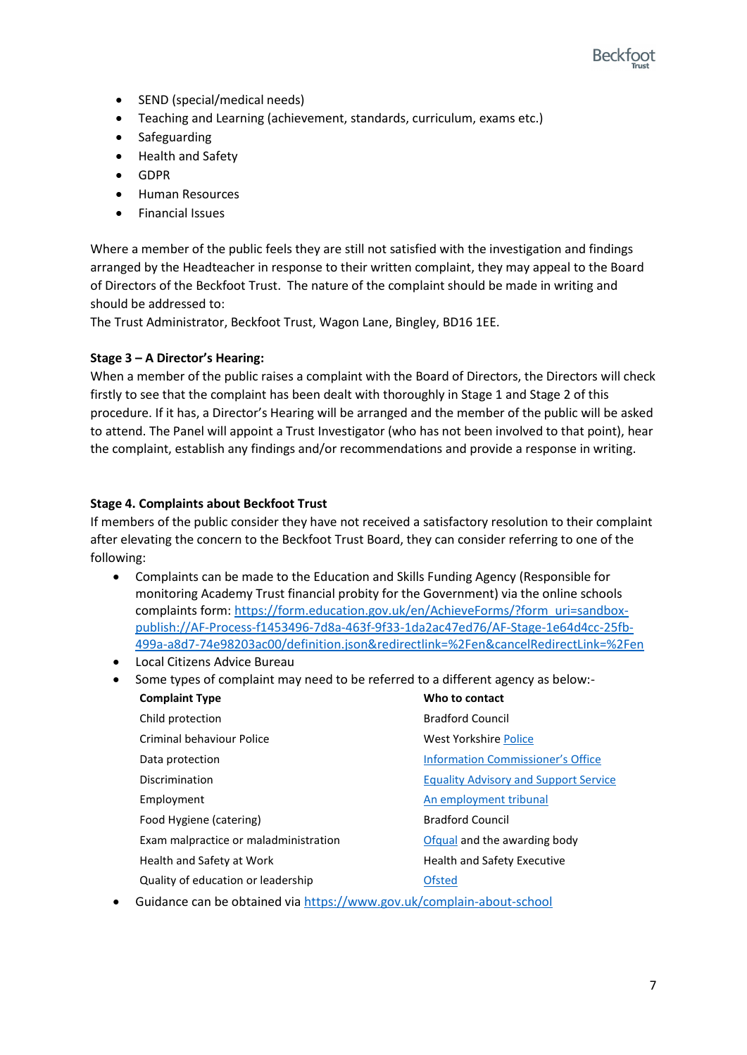

- SEND (special/medical needs)
- Teaching and Learning (achievement, standards, curriculum, exams etc.)
- **Safeguarding**
- Health and Safety
- GDPR
- Human Resources
- Financial Issues

Where a member of the public feels they are still not satisfied with the investigation and findings arranged by the Headteacher in response to their written complaint, they may appeal to the Board of Directors of the Beckfoot Trust. The nature of the complaint should be made in writing and should be addressed to:

The Trust Administrator, Beckfoot Trust, Wagon Lane, Bingley, BD16 1EE.

#### **Stage 3 – A Director's Hearing:**

When a member of the public raises a complaint with the Board of Directors, the Directors will check firstly to see that the complaint has been dealt with thoroughly in Stage 1 and Stage 2 of this procedure. If it has, a Director's Hearing will be arranged and the member of the public will be asked to attend. The Panel will appoint a Trust Investigator (who has not been involved to that point), hear the complaint, establish any findings and/or recommendations and provide a response in writing.

#### **Stage 4. Complaints about Beckfoot Trust**

If members of the public consider they have not received a satisfactory resolution to their complaint after elevating the concern to the Beckfoot Trust Board, they can consider referring to one of the following:

- Complaints can be made to the Education and Skills Funding Agency (Responsible for monitoring Academy Trust financial probity for the Government) via the online schools complaints form: https://form.education.gov.uk/en/AchieveForms/?form\_uri=sandboxpublish://AF-Process-f1453496-7d8a-463f-9f33-1da2ac47ed76/AF-Stage-1e64d4cc-25fb-499a-a8d7-74e98203ac00/definition.json&redirectlink=%2Fen&cancelRedirectLink=%2Fen
- Local Citizens Advice Bureau
- Some types of complaint may need to be referred to a different agency as below:-

| <b>Complaint Type</b>                 | Who to contact                               |
|---------------------------------------|----------------------------------------------|
| Child protection                      | <b>Bradford Council</b>                      |
| Criminal behaviour Police             | West Yorkshire Police                        |
| Data protection                       | <b>Information Commissioner's Office</b>     |
| Discrimination                        | <b>Equality Advisory and Support Service</b> |
| Employment                            | An employment tribunal                       |
| Food Hygiene (catering)               | <b>Bradford Council</b>                      |
| Exam malpractice or maladministration | Ofqual and the awarding body                 |
| Health and Safety at Work             | <b>Health and Safety Executive</b>           |
| Quality of education or leadership    | <b>Ofsted</b>                                |

• Guidance can be obtained via https://www.gov.uk/complain-about-school